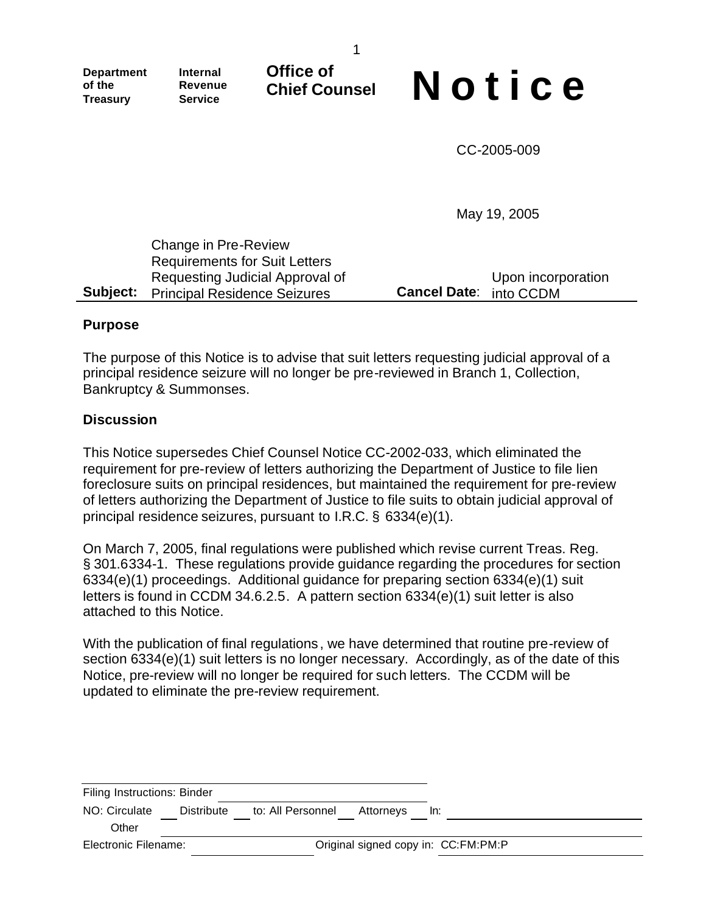**Office of**

**Department of the Treasury**

**Internal Revenue Service**

# Chief Counsel **Notice**

CC-2005-009

May 19, 2005

| Change in Pre-Review                         |                               |                    |
|----------------------------------------------|-------------------------------|--------------------|
| <b>Requirements for Suit Letters</b>         |                               |                    |
| Requesting Judicial Approval of              |                               | Upon incorporation |
| <b>Subject:</b> Principal Residence Seizures | <b>Cancel Date: into CCDM</b> |                    |

#### **Purpose**

The purpose of this Notice is to advise that suit letters requesting judicial approval of a principal residence seizure will no longer be pre-reviewed in Branch 1, Collection, Bankruptcy & Summonses.

#### **Discussion**

This Notice supersedes Chief Counsel Notice CC-2002-033, which eliminated the requirement for pre-review of letters authorizing the Department of Justice to file lien foreclosure suits on principal residences, but maintained the requirement for pre-review of letters authorizing the Department of Justice to file suits to obtain judicial approval of principal residence seizures, pursuant to I.R.C. § 6334(e)(1).

On March 7, 2005, final regulations were published which revise current Treas. Reg. § 301.6334-1. These regulations provide guidance regarding the procedures for section 6334(e)(1) proceedings. Additional guidance for preparing section 6334(e)(1) suit letters is found in CCDM 34.6.2.5. A pattern section 6334(e)(1) suit letter is also attached to this Notice.

With the publication of final regulations, we have determined that routine pre-review of section 6334(e)(1) suit letters is no longer necessary. Accordingly, as of the date of this Notice, pre-review will no longer be required for such letters. The CCDM will be updated to eliminate the pre-review requirement.

| Filing Instructions: Binder |            |                                     |           |     |
|-----------------------------|------------|-------------------------------------|-----------|-----|
| NO: Circulate               | Distribute | to: All Personnel                   | Attornevs | ln: |
| Other                       |            |                                     |           |     |
| Electronic Filename:        |            | Original signed copy in: CC:FM:PM:P |           |     |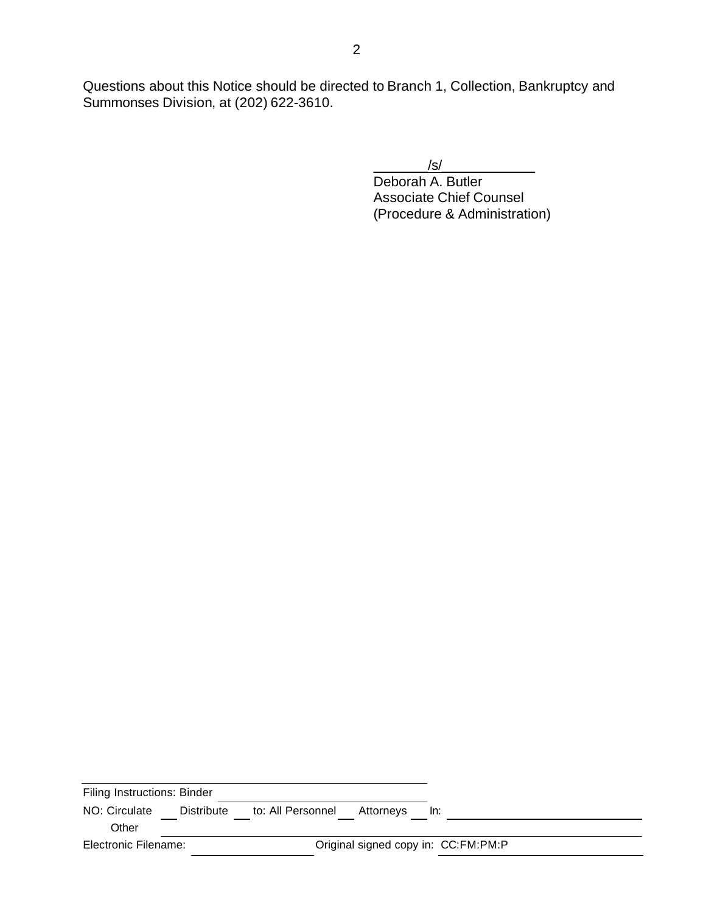Questions about this Notice should be directed to Branch 1, Collection, Bankruptcy and Summonses Division, at (202) 622-3610.

 $/s/$ 

Deborah A. Butler Associate Chief Counsel (Procedure & Administration)

| Filing Instructions: Binder |            |                   |                                     |     |  |
|-----------------------------|------------|-------------------|-------------------------------------|-----|--|
| NO: Circulate               | Distribute | to: All Personnel | Attorneys                           | ln: |  |
| Other                       |            |                   |                                     |     |  |
| Electronic Filename:        |            |                   | Original signed copy in: CC:FM:PM:P |     |  |
|                             |            |                   |                                     |     |  |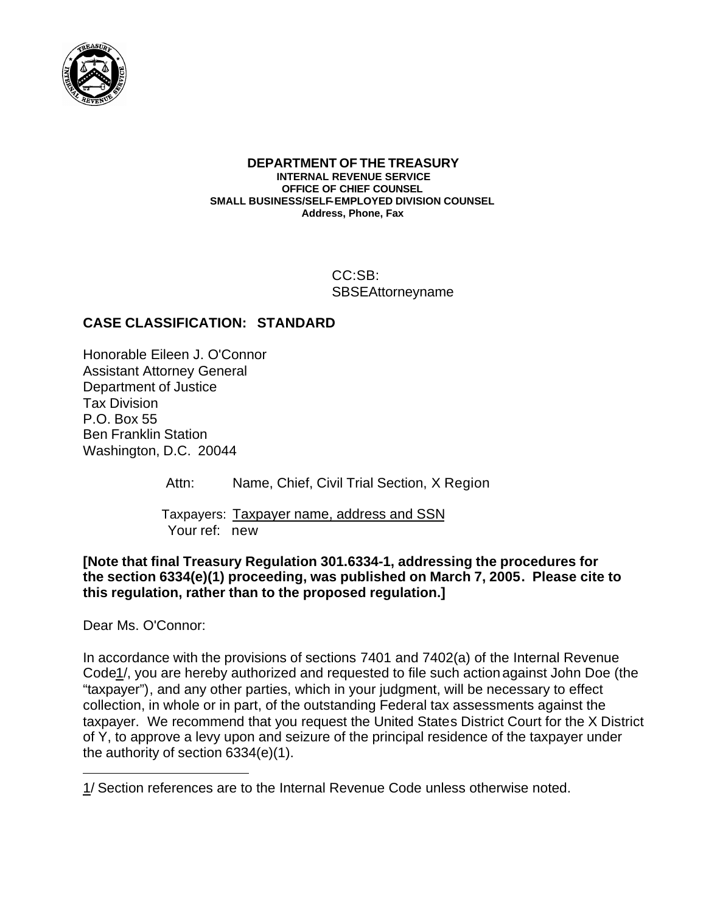

#### **DEPARTMENT OF THE TREASURY INTERNAL REVENUE SERVICE OFFICE OF CHIEF COUNSEL SMALL BUSINESS/SELF-EMPLOYED DIVISION COUNSEL Address, Phone, Fax**

CC:SB: SBSEAttorneyname

# **CASE CLASSIFICATION: STANDARD**

Honorable Eileen J. O'Connor Assistant Attorney General Department of Justice Tax Division P.O. Box 55 Ben Franklin Station Washington, D.C. 20044

Attn: Name, Chief, Civil Trial Section, X Region

 Taxpayers: Taxpayer name, address and SSN Your ref: new

## **[Note that final Treasury Regulation 301.6334-1, addressing the procedures for the section 6334(e)(1) proceeding, was published on March 7, 2005. Please cite to this regulation, rather than to the proposed regulation.]**

Dear Ms. O'Connor:

 $\overline{a}$ 

In accordance with the provisions of sections 7401 and 7402(a) of the Internal Revenue Code1/, you are hereby authorized and requested to file such action against John Doe (the "taxpayer"), and any other parties, which in your judgment, will be necessary to effect collection, in whole or in part, of the outstanding Federal tax assessments against the taxpayer. We recommend that you request the United States District Court for the X District of Y, to approve a levy upon and seizure of the principal residence of the taxpayer under the authority of section 6334(e)(1).

<sup>1/</sup> Section references are to the Internal Revenue Code unless otherwise noted.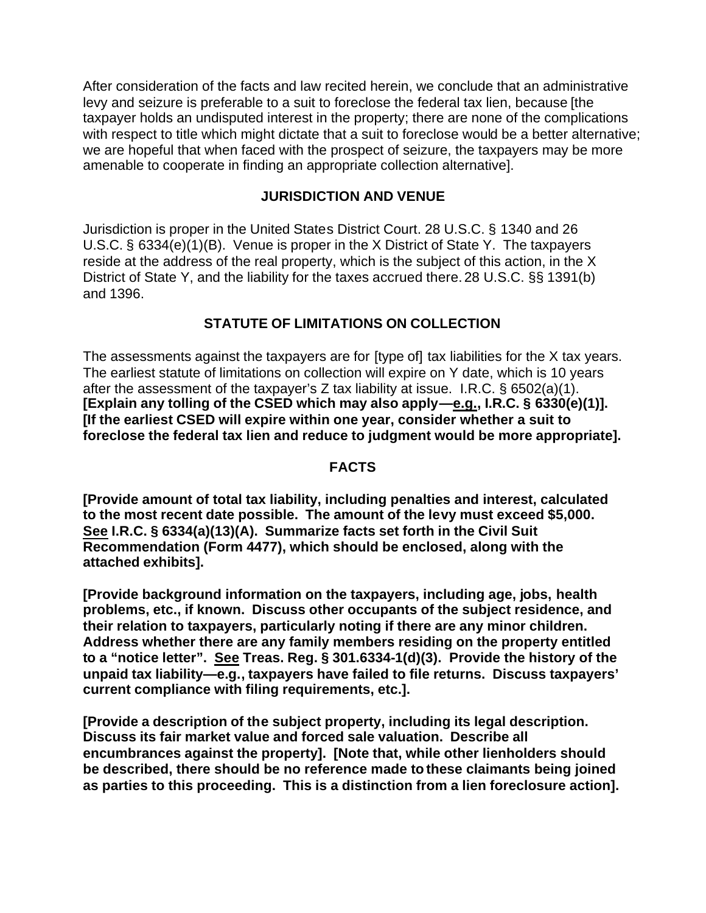After consideration of the facts and law recited herein, we conclude that an administrative levy and seizure is preferable to a suit to foreclose the federal tax lien, because [the taxpayer holds an undisputed interest in the property; there are none of the complications with respect to title which might dictate that a suit to foreclose would be a better alternative: we are hopeful that when faced with the prospect of seizure, the taxpayers may be more amenable to cooperate in finding an appropriate collection alternative].

# **JURISDICTION AND VENUE**

Jurisdiction is proper in the United States District Court. 28 U.S.C. § 1340 and 26 U.S.C. § 6334(e)(1)(B). Venue is proper in the X District of State Y. The taxpayers reside at the address of the real property, which is the subject of this action, in the X District of State Y, and the liability for the taxes accrued there.28 U.S.C. §§ 1391(b) and 1396.

# **STATUTE OF LIMITATIONS ON COLLECTION**

The assessments against the taxpayers are for [type of] tax liabilities for the X tax years. The earliest statute of limitations on collection will expire on Y date, which is 10 years after the assessment of the taxpayer's Z tax liability at issue. I.R.C.  $\&$  6502(a)(1). **[Explain any tolling of the CSED which may also apply—e.g., I.R.C. § 6330(e)(1)]. [If the earliest CSED will expire within one year, consider whether a suit to foreclose the federal tax lien and reduce to judgment would be more appropriate].** 

## **FACTS**

**[Provide amount of total tax liability, including penalties and interest, calculated to the most recent date possible. The amount of the levy must exceed \$5,000. See I.R.C. § 6334(a)(13)(A). Summarize facts set forth in the Civil Suit Recommendation (Form 4477), which should be enclosed, along with the attached exhibits].** 

**[Provide background information on the taxpayers, including age, jobs, health problems, etc., if known. Discuss other occupants of the subject residence, and their relation to taxpayers, particularly noting if there are any minor children. Address whether there are any family members residing on the property entitled to a "notice letter". See Treas. Reg. § 301.6334-1(d)(3). Provide the history of the unpaid tax liability—e.g., taxpayers have failed to file returns. Discuss taxpayers' current compliance with filing requirements, etc.].** 

**[Provide a description of the subject property, including its legal description. Discuss its fair market value and forced sale valuation. Describe all encumbrances against the property]. [Note that, while other lienholders should be described, there should be no reference made to these claimants being joined as parties to this proceeding. This is a distinction from a lien foreclosure action].**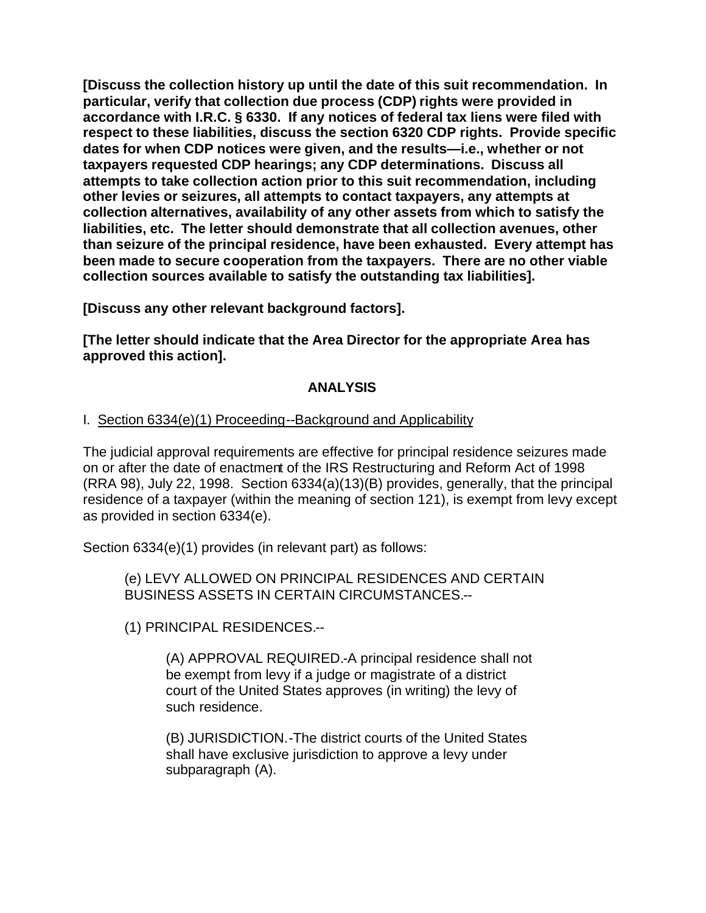**[Discuss the collection history up until the date of this suit recommendation. In particular, verify that collection due process (CDP) rights were provided in accordance with I.R.C. § 6330. If any notices of federal tax liens were filed with respect to these liabilities, discuss the section 6320 CDP rights. Provide specific dates for when CDP notices were given, and the results—i.e., whether or not taxpayers requested CDP hearings; any CDP determinations. Discuss all attempts to take collection action prior to this suit recommendation, including other levies or seizures, all attempts to contact taxpayers, any attempts at collection alternatives, availability of any other assets from which to satisfy the liabilities, etc. The letter should demonstrate that all collection avenues, other than seizure of the principal residence, have been exhausted. Every attempt has been made to secure cooperation from the taxpayers. There are no other viable collection sources available to satisfy the outstanding tax liabilities].** 

**[Discuss any other relevant background factors].** 

**[The letter should indicate that the Area Director for the appropriate Area has approved this action].** 

## **ANALYSIS**

# I. Section 6334(e)(1) Proceeding--Background and Applicability

The judicial approval requirements are effective for principal residence seizures made on or after the date of enactment of the IRS Restructuring and Reform Act of 1998 (RRA 98), July 22, 1998. Section 6334(a)(13)(B) provides, generally, that the principal residence of a taxpayer (within the meaning of section 121), is exempt from levy except as provided in section 6334(e).

Section 6334(e)(1) provides (in relevant part) as follows:

(e) LEVY ALLOWED ON PRINCIPAL RESIDENCES AND CERTAIN BUSINESS ASSETS IN CERTAIN CIRCUMSTANCES.--

(1) PRINCIPAL RESIDENCES.--

(A) APPROVAL REQUIRED.-A principal residence shall not be exempt from levy if a judge or magistrate of a district court of the United States approves (in writing) the levy of such residence.

(B) JURISDICTION.-The district courts of the United States shall have exclusive jurisdiction to approve a levy under subparagraph (A).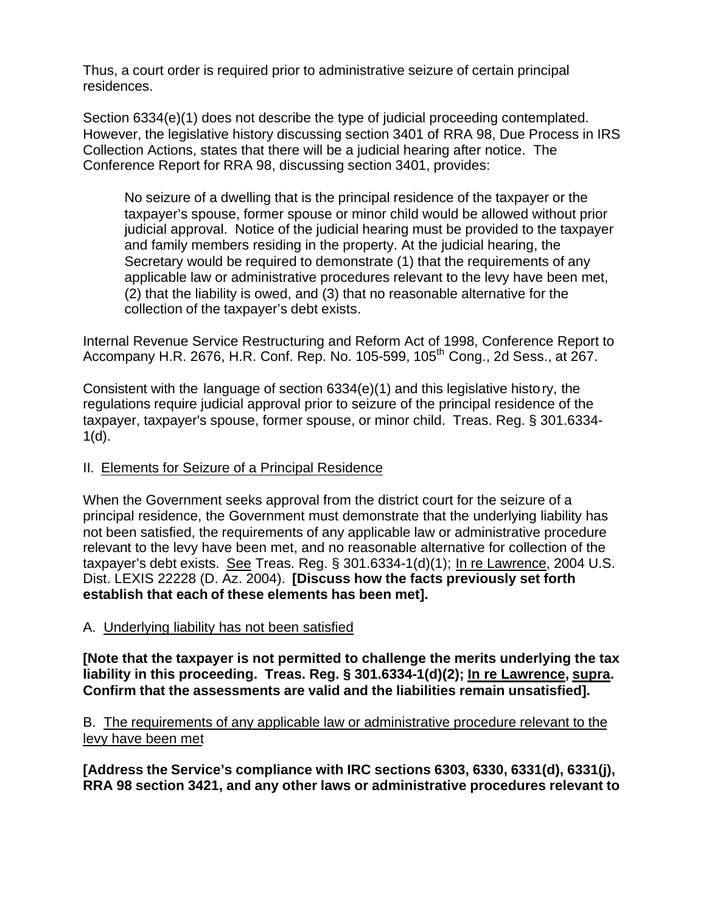Thus, a court order is required prior to administrative seizure of certain principal residences.

Section 6334(e)(1) does not describe the type of judicial proceeding contemplated. However, the legislative history discussing section 3401 of RRA 98, Due Process in IRS Collection Actions, states that there will be a judicial hearing after notice. The Conference Report for RRA 98, discussing section 3401, provides:

No seizure of a dwelling that is the principal residence of the taxpayer or the taxpayer's spouse, former spouse or minor child would be allowed without prior judicial approval. Notice of the judicial hearing must be provided to the taxpayer and family members residing in the property. At the judicial hearing, the Secretary would be required to demonstrate (1) that the requirements of any applicable law or administrative procedures relevant to the levy have been met, (2) that the liability is owed, and (3) that no reasonable alternative for the collection of the taxpayer's debt exists.

Internal Revenue Service Restructuring and Reform Act of 1998, Conference Report to Accompany H.R. 2676, H.R. Conf. Rep. No. 105-599, 105<sup>th</sup> Cong., 2d Sess., at 267.

Consistent with the language of section 6334(e)(1) and this legislative history, the regulations require judicial approval prior to seizure of the principal residence of the taxpayer, taxpayer's spouse, former spouse, or minor child. Treas. Reg. § 301.6334-  $1(d)$ .

## II. Elements for Seizure of a Principal Residence

When the Government seeks approval from the district court for the seizure of a principal residence, the Government must demonstrate that the underlying liability has not been satisfied, the requirements of any applicable law or administrative procedure relevant to the levy have been met, and no reasonable alternative for collection of the taxpayer's debt exists. See Treas. Reg. § 301.6334-1(d)(1); In re Lawrence, 2004 U.S. Dist. LEXIS 22228 (D. Az. 2004). **[Discuss how the facts previously set forth establish that each of these elements has been met].** 

# A. Underlying liability has not been satisfied

**[Note that the taxpayer is not permitted to challenge the merits underlying the tax liability in this proceeding. Treas. Reg. § 301.6334-1(d)(2); In re Lawrence, supra. Confirm that the assessments are valid and the liabilities remain unsatisfied].** 

B. The requirements of any applicable law or administrative procedure relevant to the levy have been met

**[Address the Service's compliance with IRC sections 6303, 6330, 6331(d), 6331(j), RRA 98 section 3421, and any other laws or administrative procedures relevant to**